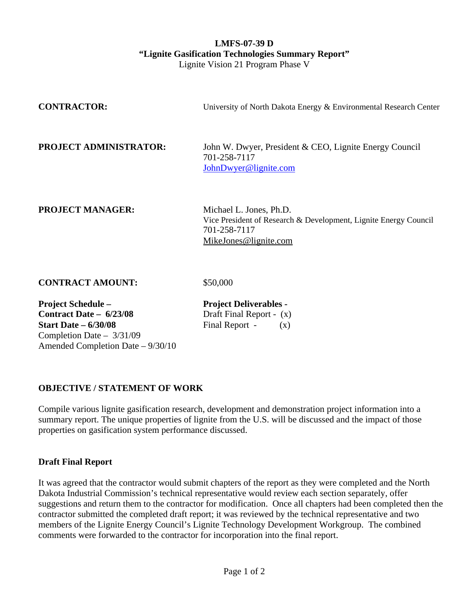## **LMFS-07-39 D "Lignite Gasification Technologies Summary Report"**  Lignite Vision 21 Program Phase V

| <b>CONTRACTOR:</b>                                                                                                                                      | University of North Dakota Energy & Environmental Research Center                                                                    |
|---------------------------------------------------------------------------------------------------------------------------------------------------------|--------------------------------------------------------------------------------------------------------------------------------------|
| PROJECT ADMINISTRATOR:                                                                                                                                  | John W. Dwyer, President & CEO, Lignite Energy Council<br>701-258-7117<br>JohnDwyer@lignite.com                                      |
| <b>PROJECT MANAGER:</b>                                                                                                                                 | Michael L. Jones, Ph.D.<br>Vice President of Research & Development, Lignite Energy Council<br>701-258-7117<br>MikeJones@lignite.com |
| <b>CONTRACT AMOUNT:</b>                                                                                                                                 | \$50,000                                                                                                                             |
| <b>Project Schedule –</b><br>Contract Date $-6/23/08$<br><b>Start Date - 6/30/08</b><br>Completion Date $-3/31/09$<br>Amended Completion Date – 9/30/10 | <b>Project Deliverables -</b><br>Draft Final Report - $(x)$<br>Final Report -<br>(X)                                                 |

## **OBJECTIVE / STATEMENT OF WORK**

Compile various lignite gasification research, development and demonstration project information into a summary report. The unique properties of lignite from the U.S. will be discussed and the impact of those properties on gasification system performance discussed.

## **Draft Final Report**

It was agreed that the contractor would submit chapters of the report as they were completed and the North Dakota Industrial Commission's technical representative would review each section separately, offer suggestions and return them to the contractor for modification. Once all chapters had been completed then the contractor submitted the completed draft report; it was reviewed by the technical representative and two members of the Lignite Energy Council's Lignite Technology Development Workgroup. The combined comments were forwarded to the contractor for incorporation into the final report.